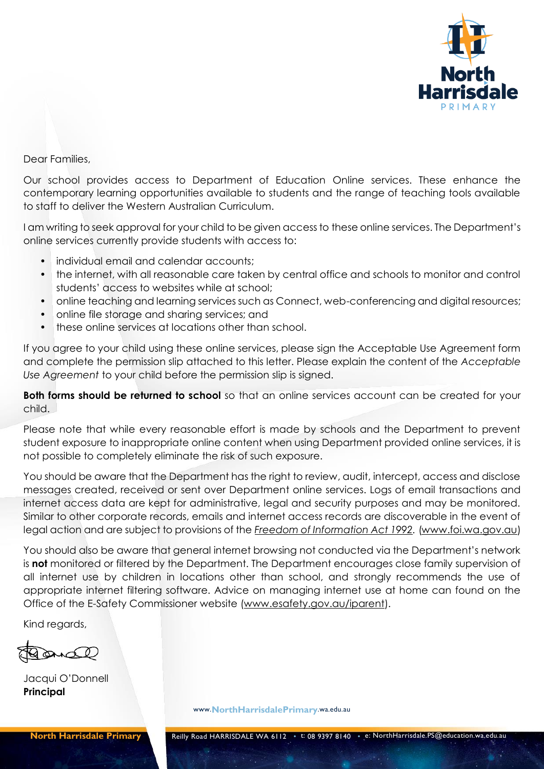

Dear Families,

Our school provides access to Department of Education Online services. These enhance the contemporary learning opportunities available to students and the range of teaching tools available to staff to deliver the Western Australian Curriculum.

I am writing to seek approval for your child to be given access to these online services. The Department's online services currently provide students with access to:

- individual email and calendar accounts;
- the internet, with all reasonable care taken by central office and schools to monitor and control students' access to websites while at school;
- online teaching and learning services such as Connect, web-conferencing and digital resources;
- online file storage and sharing services; and
- these online services at locations other than school.

If you agree to your child using these online services, please sign the Acceptable Use Agreement form and complete the permission slip attached to this letter. Please explain the content of the *Acceptable Use Agreement* to your child before the permission slip is signed.

**Both forms should be returned to school** so that an online services account can be created for your child.

Please note that while every reasonable effort is made by schools and the Department to prevent student exposure to inappropriate online content when using Department provided online services, it is not possible to completely eliminate the risk of such exposure.

You should be aware that the Department has the right to review, audit, intercept, access and disclose messages created, received or sent over Department online services. Logs of email transactions and internet access data are kept for administrative, legal and security purposes and may be monitored. Similar to other corporate records, emails and internet access records are discoverable in the event of legal action and are subject to provisions of the *Freedom of Information Act 1992.* (www.foi.wa.gov.au)

You should also be aware that general internet browsing not conducted via the Department's network is **not** monitored or filtered by the Department. The Department encourages close family supervision of all internet use by children in locations other than school, and strongly recommends the use of appropriate internet filtering software. Advice on managing internet use at home can found on the Office of the E-Safety Commissioner website (www.esafety.gov.au/iparent).

Kind regards,

anal

Jacqui O'Donnell **Principal**

www.**NorthHarrisdalePrimary**.wa.edu.au